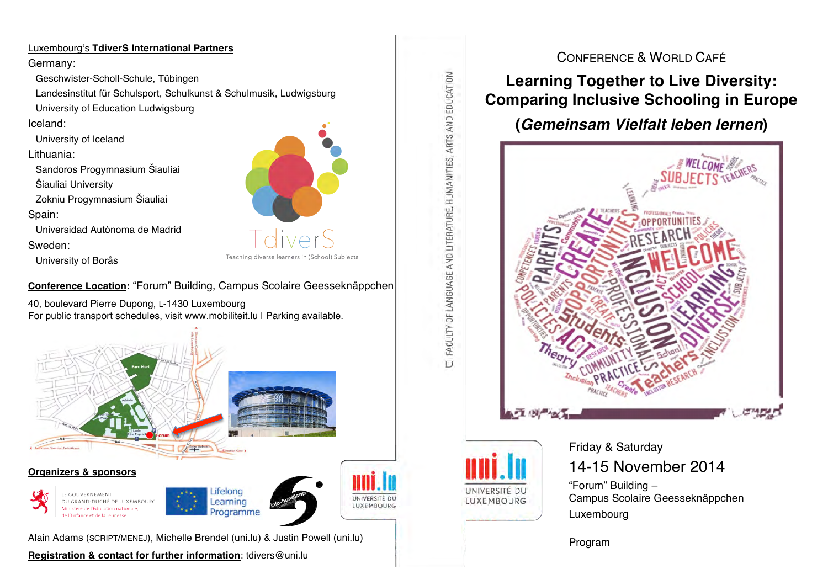## Luxembourg's **TdiverS International Partners**

### Germany:

Geschwister-Scholl-Schule, Tübingen

Landesinstitut für Schulsport, Schulkunst & Schulmusik, Ludwigsburg University of Education Ludwigsburg

## Iceland:

University of Iceland

## Lithuania:

Sandoros Progymnasium Šiauliai

Šiauliai University

Zokniu Progymnasium Šiauliai

## Spain:

Universidad Autónoma de Madrid

Sweden:

University of Borås

**Conference Location:** "Forum" Building, Campus Scolaire Geesseknäppchen

40, boulevard Pierre Dupong, L-1430 Luxembourg For public transport schedules, visit www.mobiliteit.lu | Parking available.



**Registration & contact for further information**: tdivers@uni.lu



## CONFERENCE & WORLD CAFÉ

**Learning Together to Live Diversity: Comparing Inclusive Schooling in Europe**

## **(***Gemeinsam Vielfalt leben lernen***)**





FACULTY OF LANGUAGE AND LITERATURE, HUMANITIES, ARTS AND EDUCATION

 $\Box$ 

# Friday & Saturday 14-15 November 2014

"Forum" Building – Campus Scolaire Geesseknäppchen Luxembourg

Program